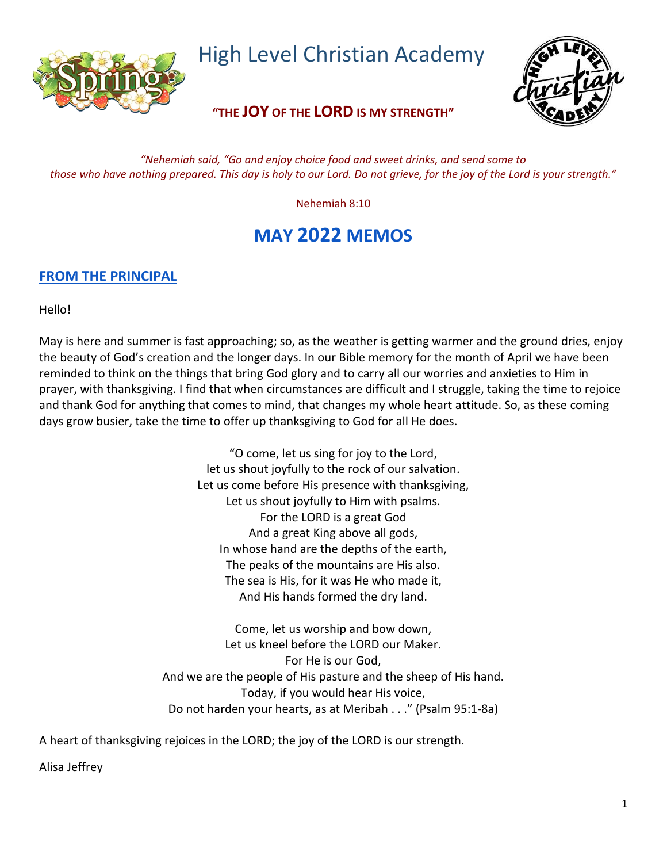

High Level Christian Academy

**"THE JOY OF THE LORD IS MY STRENGTH"**

*"Nehemiah said, "Go and enjoy choice food and sweet drinks, and send some to those who have nothing prepared. This day is holy to our Lord. Do not grieve, for the joy of the Lord is your strength."*

Nehemiah 8:10

# **MAY 2022 MEMOS**

# **FROM THE PRINCIPAL**

Hello!

May is here and summer is fast approaching; so, as the weather is getting warmer and the ground dries, enjoy the beauty of God's creation and the longer days. In our Bible memory for the month of April we have been reminded to think on the things that bring God glory and to carry all our worries and anxieties to Him in prayer, with thanksgiving. I find that when circumstances are difficult and I struggle, taking the time to rejoice and thank God for anything that comes to mind, that changes my whole heart attitude. So, as these coming days grow busier, take the time to offer up thanksgiving to God for all He does.

> "O come, let us sing for joy to the Lord, let us shout joyfully to the rock of our salvation. Let us come before His presence with thanksgiving, Let us shout joyfully to Him with psalms. For the LORD is a great God And a great King above all gods, In whose hand are the depths of the earth, The peaks of the mountains are His also. The sea is His, for it was He who made it, And His hands formed the dry land.

Come, let us worship and bow down, Let us kneel before the LORD our Maker. For He is our God, And we are the people of His pasture and the sheep of His hand. Today, if you would hear His voice, Do not harden your hearts, as at Meribah . . ." (Psalm 95:1-8a)

A heart of thanksgiving rejoices in the LORD; the joy of the LORD is our strength.

Alisa Jeffrey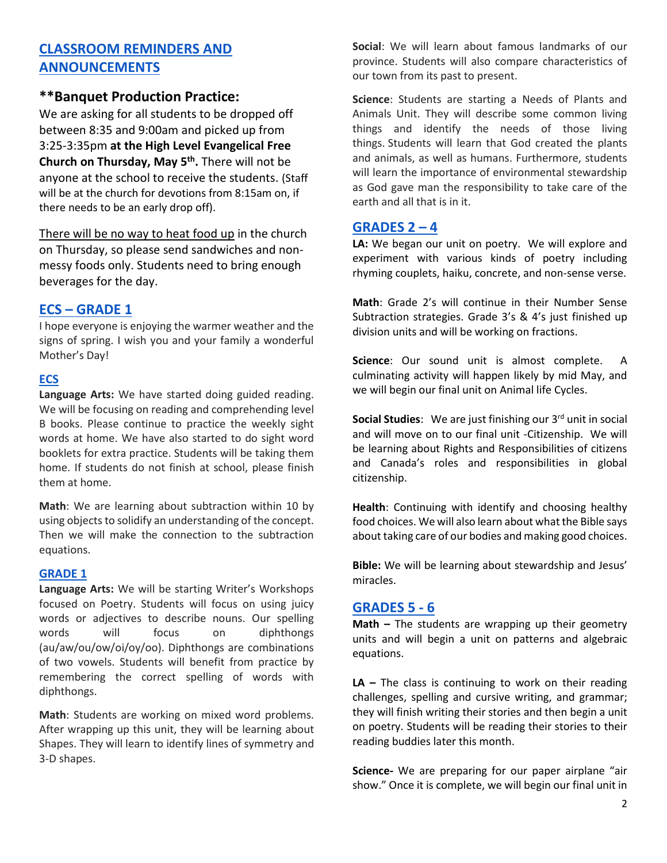# **CLASSROOM REMINDERS AND ANNOUNCEMENTS**

# **\*\*Banquet Production Practice:**

We are asking for all students to be dropped off between 8:35 and 9:00am and picked up from 3:25-3:35pm **at the High Level Evangelical Free Church on Thursday, May 5 th .** There will not be anyone at the school to receive the students. (Staff will be at the church for devotions from 8:15am on, if there needs to be an early drop off).

There will be no way to heat food up in the church on Thursday, so please send sandwiches and nonmessy foods only. Students need to bring enough beverages for the day.

## **ECS – GRADE 1**

I hope everyone is enjoying the warmer weather and the signs of spring. I wish you and your family a wonderful Mother's Day!

#### **ECS**

**Language Arts:** We have started doing guided reading. We will be focusing on reading and comprehending level B books. Please continue to practice the weekly sight words at home. We have also started to do sight word booklets for extra practice. Students will be taking them home. If students do not finish at school, please finish them at home.

**Math**: We are learning about subtraction within 10 by using objects to solidify an understanding of the concept. Then we will make the connection to the subtraction equations.

#### **GRADE 1**

**Language Arts:** We will be starting Writer's Workshops focused on Poetry. Students will focus on using juicy words or adjectives to describe nouns. Our spelling words will focus on diphthongs (au/aw/ou/ow/oi/oy/oo). Diphthongs are combinations of two vowels. Students will benefit from practice by remembering the correct spelling of words with diphthongs.

**Math**: Students are working on mixed word problems. After wrapping up this unit, they will be learning about Shapes. They will learn to identify lines of symmetry and 3-D shapes.

**Social**: We will learn about famous landmarks of our province. Students will also compare characteristics of our town from its past to present.

**Science**: Students are starting a Needs of Plants and Animals Unit. They will describe some common living things and identify the needs of those living things. Students will learn that God created the plants and animals, as well as humans. Furthermore, students will learn the importance of environmental stewardship as God gave man the responsibility to take care of the earth and all that is in it.

### **GRADES 2 – 4**

**LA:** We began our unit on poetry. We will explore and experiment with various kinds of poetry including rhyming couplets, haiku, concrete, and non-sense verse.

**Math**: Grade 2's will continue in their Number Sense Subtraction strategies. Grade 3's & 4's just finished up division units and will be working on fractions.

**Science**: Our sound unit is almost complete. A culminating activity will happen likely by mid May, and we will begin our final unit on Animal life Cycles.

**Social Studies:** We are just finishing our 3<sup>rd</sup> unit in social and will move on to our final unit -Citizenship. We will be learning about Rights and Responsibilities of citizens and Canada's roles and responsibilities in global citizenship.

**Health**: Continuing with identify and choosing healthy food choices. We will also learn about what the Bible says about taking care of our bodies and making good choices.

**Bible:** We will be learning about stewardship and Jesus' miracles.

#### **GRADES 5 - 6**

**Math –** The students are wrapping up their geometry units and will begin a unit on patterns and algebraic equations.

**LA –** The class is continuing to work on their reading challenges, spelling and cursive writing, and grammar; they will finish writing their stories and then begin a unit on poetry. Students will be reading their stories to their reading buddies later this month.

**Science-** We are preparing for our paper airplane "air show." Once it is complete, we will begin our final unit in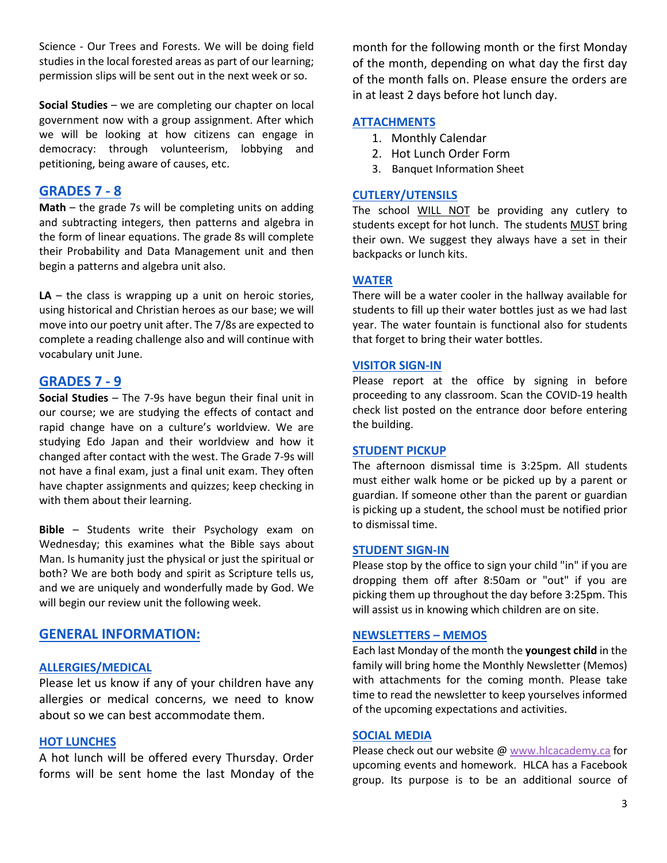Science - Our Trees and Forests. We will be doing field studies in the local forested areas as part of our learning; permission slips will be sent out in the next week or so.

**Social Studies** – we are completing our chapter on local government now with a group assignment. After which we will be looking at how citizens can engage in democracy: through volunteerism, lobbying and petitioning, being aware of causes, etc.

# **GRADES 7 - 8**

**Math** – the grade 7s will be completing units on adding and subtracting integers, then patterns and algebra in the form of linear equations. The grade 8s will complete their Probability and Data Management unit and then begin a patterns and algebra unit also.

**LA** – the class is wrapping up a unit on heroic stories, using historical and Christian heroes as our base; we will move into our poetry unit after. The 7/8s are expected to complete a reading challenge also and will continue with vocabulary unit June.

# **GRADES 7 - 9**

**Social Studies** – The 7-9s have begun their final unit in our course; we are studying the effects of contact and rapid change have on a culture's worldview. We are studying Edo Japan and their worldview and how it changed after contact with the west. The Grade 7-9s will not have a final exam, just a final unit exam. They often have chapter assignments and quizzes; keep checking in with them about their learning.

**Bible** – Students write their Psychology exam on Wednesday; this examines what the Bible says about Man. Is humanity just the physical or just the spiritual or both? We are both body and spirit as Scripture tells us, and we are uniquely and wonderfully made by God. We will begin our review unit the following week.

## **GENERAL INFORMATION:**

#### **ALLERGIES/MEDICAL**

Please let us know if any of your children have any allergies or medical concerns, we need to know about so we can best accommodate them.

#### **HOT LUNCHES**

A hot lunch will be offered every Thursday. Order forms will be sent home the last Monday of the

month for the following month or the first Monday of the month, depending on what day the first day of the month falls on. Please ensure the orders are in at least 2 days before hot lunch day.

#### **ATTACHMENTS**

- 1. Monthly Calendar
- 2. Hot Lunch Order Form
- 3. Banquet Information Sheet

#### **CUTLERY/UTENSILS**

The school WILL NOT be providing any cutlery to students except for hot lunch. The students MUST bring their own. We suggest they always have a set in their backpacks or lunch kits.

#### **WATER**

There will be a water cooler in the hallway available for students to fill up their water bottles just as we had last year. The water fountain is functional also for students that forget to bring their water bottles.

#### **VISITOR SIGN-IN**

Please report at the office by signing in before proceeding to any classroom. Scan the COVID-19 health check list posted on the entrance door before entering the building.

#### **STUDENT PICKUP**

The afternoon dismissal time is 3:25pm. All students must either walk home or be picked up by a parent or guardian. If someone other than the parent or guardian is picking up a student, the school must be notified prior to dismissal time.

#### **STUDENT SIGN-IN**

Please stop by the office to sign your child "in" if you are dropping them off after 8:50am or "out" if you are picking them up throughout the day before 3:25pm. This will assist us in knowing which children are on site.

#### **NEWSLETTERS – MEMOS**

Each last Monday of the month the **youngest child** in the family will bring home the Monthly Newsletter (Memos) with attachments for the coming month. Please take time to read the newsletter to keep yourselves informed of the upcoming expectations and activities.

#### **SOCIAL MEDIA**

Please check out our website @ [www.hlcacademy.ca](http://www.hlcacademy.ca/) for upcoming events and homework. HLCA has a Facebook group. Its purpose is to be an additional source of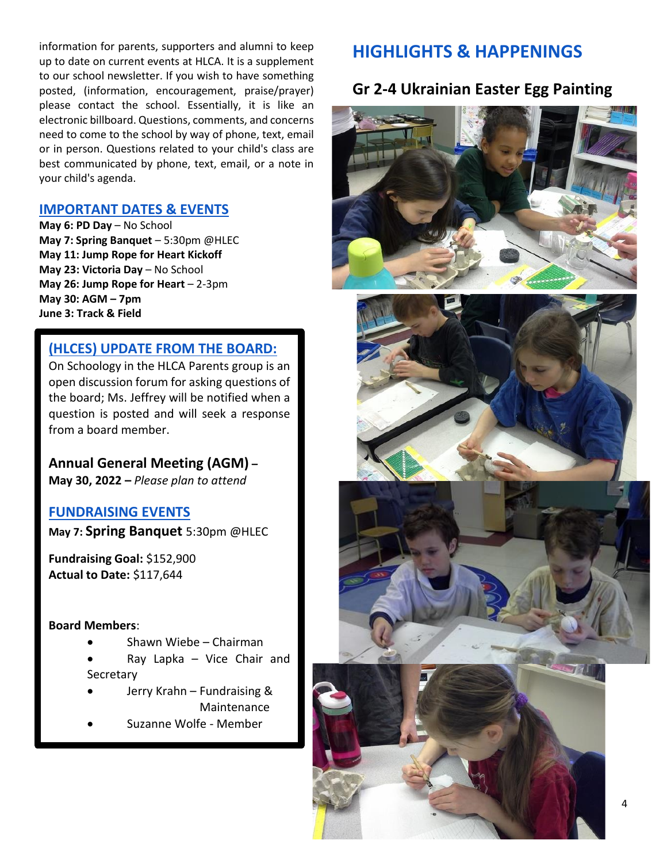information for parents, supporters and alumni to keep up to date on current events at HLCA. It is a supplement to our school newsletter. If you wish to have something posted, (information, encouragement, praise/prayer) please contact the school. Essentially, it is like an electronic billboard. Questions, comments, and concerns need to come to the school by way of phone, text, email or in person. Questions related to your child's class are best communicated by phone, text, email, or a note in your child's agenda.

# **IMPORTANT DATES & EVENTS**

**May 6: PD Day** – No School **May 7: Spring Banquet** – 5:30pm @HLEC **May 11: Jump Rope for Heart Kickoff May 23: Victoria Day** – No School **May 26: Jump Rope for Heart** – 2-3pm **May 30: AGM – 7pm June 3: Track & Field**

# **(HLCES) UPDATE FROM THE BOARD:**

On Schoology in the HLCA Parents group is an open discussion forum for asking questions of the board; Ms. Jeffrey will be notified when a question is posted and will seek a response from a board member.

**Annual General Meeting (AGM) –**

**May 30, 2022 –** *Please plan to attend*

## **FUNDRAISING EVENTS**

**May 7: Spring Banquet** 5:30pm @HLEC

**Fundraising Goal:** \$152,900 **Actual to Date:** \$117,644

#### **Board Members**:

- Shawn Wiebe Chairman
- Ray Lapka Vice Chair and **Secretary**
- Jerry Krahn Fundraising & Maintenance
- Suzanne Wolfe Member

# **HIGHLIGHTS & HAPPENINGS**

# **Gr 2-4 Ukrainian Easter Egg Painting**